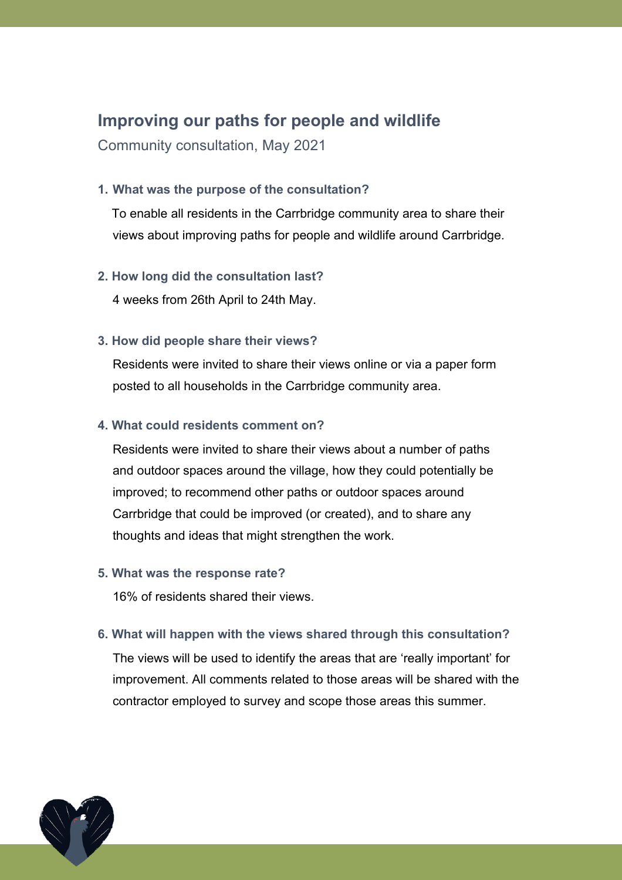# **Improving our paths for people and wildlife**

Community consultation, May 2021

# **1. What was the purpose of the consultation?**

 To enable all residents in the Carrbridge community area to share their views about improving paths for people and wildlife around Carrbridge.

# **2. How long did the consultation last?**

4 weeks from 26th April to 24th May.

# **3. How did people share their views?**

Residents were invited to share their views online or via a paper form posted to all households in the Carrbridge community area.

# **4. What could residents comment on?**

Residents were invited to share their views about a number of paths and outdoor spaces around the village, how they could potentially be improved; to recommend other paths or outdoor spaces around Carrbridge that could be improved (or created), and to share any thoughts and ideas that might strengthen the work.

#### **5. What was the response rate?**

16% of residents shared their views.

# **6. What will happen with the views shared through this consultation?**

The views will be used to identify the areas that are 'really important' for improvement. All comments related to those areas will be shared with the contractor employed to survey and scope those areas this summer.

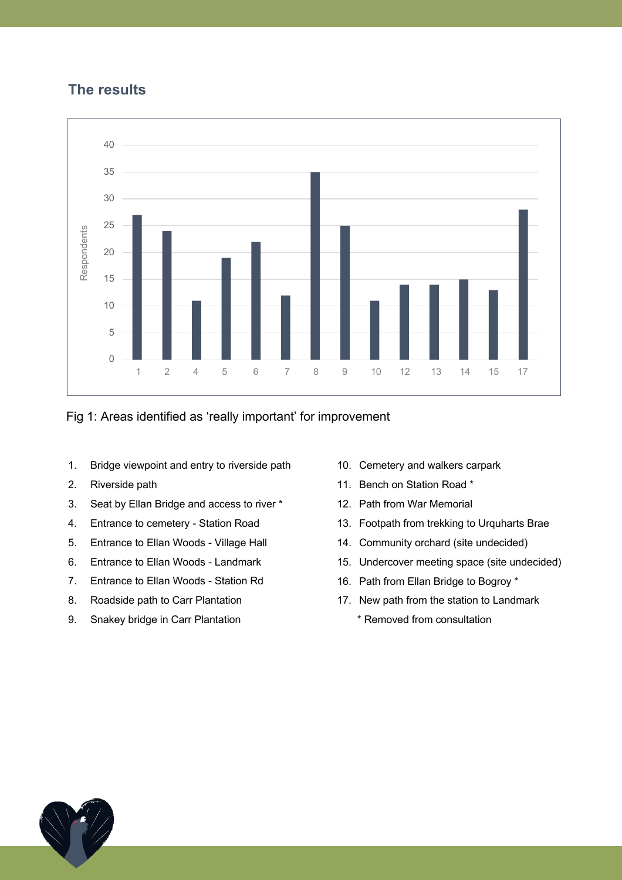# **The results**



Fig 1: Areas identified as 'really important' for improvement

- 1. Bridge viewpoint and entry to riverside path
- 2. Riverside path
- 3. Seat by Ellan Bridge and access to river \*
- 4. Entrance to cemetery Station Road
- 5. Entrance to Ellan Woods Village Hall
- 6. Entrance to Ellan Woods Landmark
- 7. Entrance to Ellan Woods Station Rd
- 8. Roadside path to Carr Plantation
- 9. Snakey bridge in Carr Plantation
- 10. Cemetery and walkers carpark
- 11. Bench on Station Road \*
- 12. Path from War Memorial
- 13. Footpath from trekking to Urquharts Brae
- 14. Community orchard (site undecided)
- 15. Undercover meeting space (site undecided)
- 16. Path from Ellan Bridge to Bogroy \*
- 17. New path from the station to Landmark
	- \* Removed from consultation

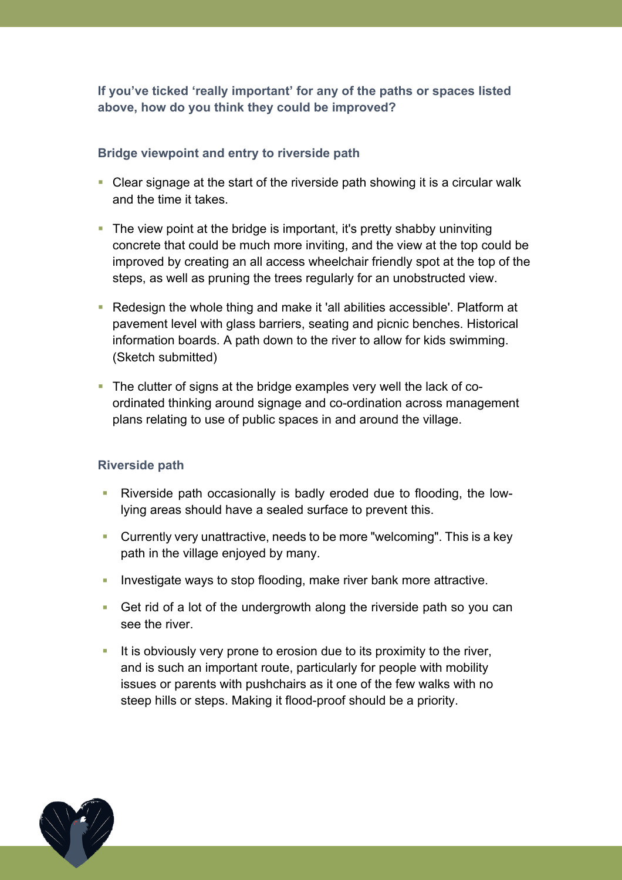# **If you've ticked 'really important' for any of the paths or spaces listed above, how do you think they could be improved?**

# **Bridge viewpoint and entry to riverside path**

- § Clear signage at the start of the riverside path showing it is a circular walk and the time it takes.
- The view point at the bridge is important, it's pretty shabby uninviting concrete that could be much more inviting, and the view at the top could be improved by creating an all access wheelchair friendly spot at the top of the steps, as well as pruning the trees regularly for an unobstructed view.
- § Redesign the whole thing and make it 'all abilities accessible'. Platform at pavement level with glass barriers, seating and picnic benches. Historical information boards. A path down to the river to allow for kids swimming. (Sketch submitted)
- The clutter of signs at the bridge examples very well the lack of coordinated thinking around signage and co-ordination across management plans relating to use of public spaces in and around the village.

# **Riverside path**

- § Riverside path occasionally is badly eroded due to flooding, the lowlying areas should have a sealed surface to prevent this.
- Currently very unattractive, needs to be more "welcoming". This is a key path in the village enjoyed by many.
- **Investigate ways to stop flooding, make river bank more attractive.**
- Get rid of a lot of the undergrowth along the riverside path so you can see the river.
- **EXTE:** It is obviously very prone to erosion due to its proximity to the river, and is such an important route, particularly for people with mobility issues or parents with pushchairs as it one of the few walks with no steep hills or steps. Making it flood-proof should be a priority.

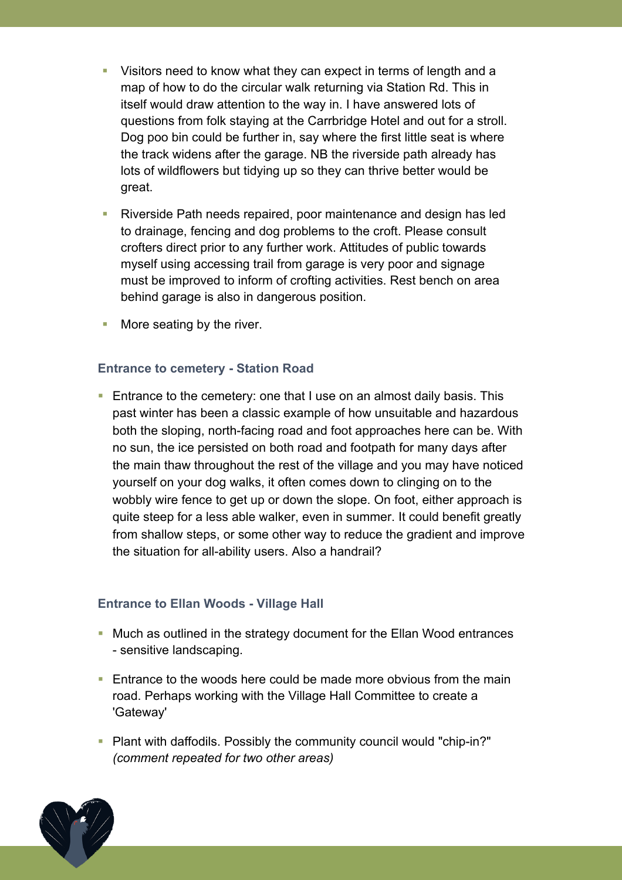- Visitors need to know what they can expect in terms of length and a map of how to do the circular walk returning via Station Rd. This in itself would draw attention to the way in. I have answered lots of questions from folk staying at the Carrbridge Hotel and out for a stroll. Dog poo bin could be further in, say where the first little seat is where the track widens after the garage. NB the riverside path already has lots of wildflowers but tidying up so they can thrive better would be great.
- § Riverside Path needs repaired, poor maintenance and design has led to drainage, fencing and dog problems to the croft. Please consult crofters direct prior to any further work. Attitudes of public towards myself using accessing trail from garage is very poor and signage must be improved to inform of crofting activities. Rest bench on area behind garage is also in dangerous position.
- More seating by the river.

# **Entrance to cemetery - Station Road**

Entrance to the cemetery: one that I use on an almost daily basis. This past winter has been a classic example of how unsuitable and hazardous both the sloping, north-facing road and foot approaches here can be. With no sun, the ice persisted on both road and footpath for many days after the main thaw throughout the rest of the village and you may have noticed yourself on your dog walks, it often comes down to clinging on to the wobbly wire fence to get up or down the slope. On foot, either approach is quite steep for a less able walker, even in summer. It could benefit greatly from shallow steps, or some other way to reduce the gradient and improve the situation for all-ability users. Also a handrail?

# **Entrance to Ellan Woods - Village Hall**

- § Much as outlined in the strategy document for the Ellan Wood entrances - sensitive landscaping.
- Entrance to the woods here could be made more obvious from the main road. Perhaps working with the Village Hall Committee to create a 'Gateway'
- § Plant with daffodils. Possibly the community council would "chip-in?" *(comment repeated for two other areas)*

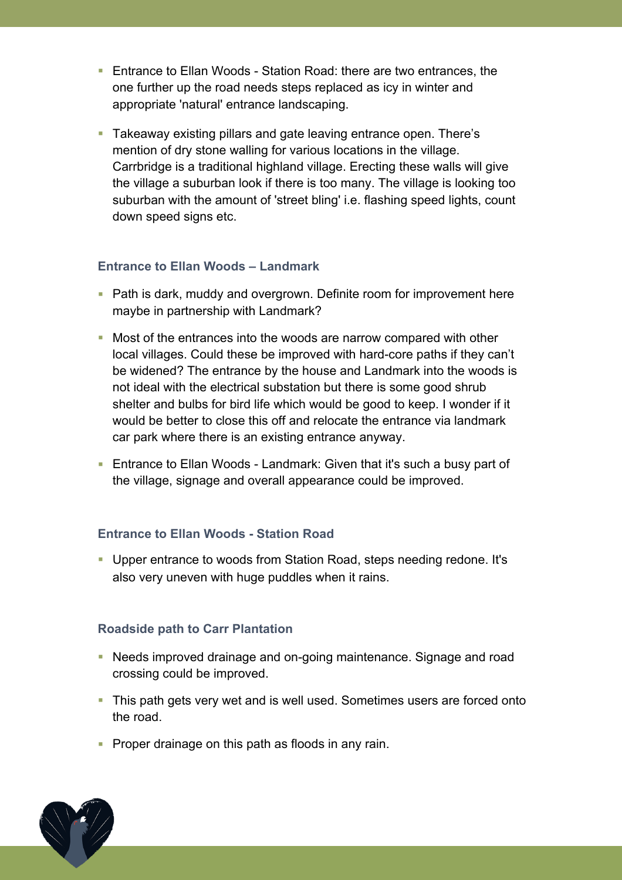- Entrance to Ellan Woods Station Road: there are two entrances, the one further up the road needs steps replaced as icy in winter and appropriate 'natural' entrance landscaping.
- § Takeaway existing pillars and gate leaving entrance open. There's mention of dry stone walling for various locations in the village. Carrbridge is a traditional highland village. Erecting these walls will give the village a suburban look if there is too many. The village is looking too suburban with the amount of 'street bling' i.e. flashing speed lights, count down speed signs etc.

# **Entrance to Ellan Woods – Landmark**

- Path is dark, muddy and overgrown. Definite room for improvement here maybe in partnership with Landmark?
- § Most of the entrances into the woods are narrow compared with other local villages. Could these be improved with hard-core paths if they can't be widened? The entrance by the house and Landmark into the woods is not ideal with the electrical substation but there is some good shrub shelter and bulbs for bird life which would be good to keep. I wonder if it would be better to close this off and relocate the entrance via landmark car park where there is an existing entrance anyway.
- Entrance to Ellan Woods Landmark: Given that it's such a busy part of the village, signage and overall appearance could be improved.

# **Entrance to Ellan Woods - Station Road**

§ Upper entrance to woods from Station Road, steps needing redone. It's also very uneven with huge puddles when it rains.

# **Roadside path to Carr Plantation**

- Needs improved drainage and on-going maintenance. Signage and road crossing could be improved.
- This path gets very wet and is well used. Sometimes users are forced onto the road.
- Proper drainage on this path as floods in any rain.

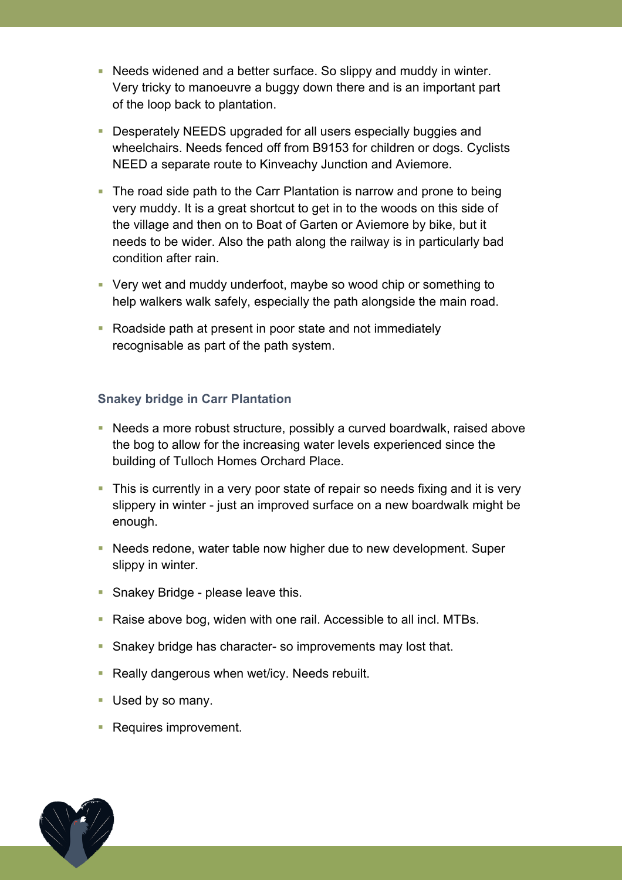- § Needs widened and a better surface. So slippy and muddy in winter. Very tricky to manoeuvre a buggy down there and is an important part of the loop back to plantation.
- § Desperately NEEDS upgraded for all users especially buggies and wheelchairs. Needs fenced off from B9153 for children or dogs. Cyclists NEED a separate route to Kinveachy Junction and Aviemore.
- The road side path to the Carr Plantation is narrow and prone to being very muddy. It is a great shortcut to get in to the woods on this side of the village and then on to Boat of Garten or Aviemore by bike, but it needs to be wider. Also the path along the railway is in particularly bad condition after rain.
- § Very wet and muddy underfoot, maybe so wood chip or something to help walkers walk safely, especially the path alongside the main road.
- Roadside path at present in poor state and not immediately recognisable as part of the path system.

# **Snakey bridge in Carr Plantation**

- § Needs a more robust structure, possibly a curved boardwalk, raised above the bog to allow for the increasing water levels experienced since the building of Tulloch Homes Orchard Place.
- This is currently in a very poor state of repair so needs fixing and it is very slippery in winter - just an improved surface on a new boardwalk might be enough.
- § Needs redone, water table now higher due to new development. Super slippy in winter.
- Snakey Bridge please leave this.
- Raise above bog, widen with one rail. Accessible to all incl. MTBs.
- Snakey bridge has character- so improvements may lost that.
- Really dangerous when wet/icy. Needs rebuilt.
- Used by so many.
- Requires improvement.

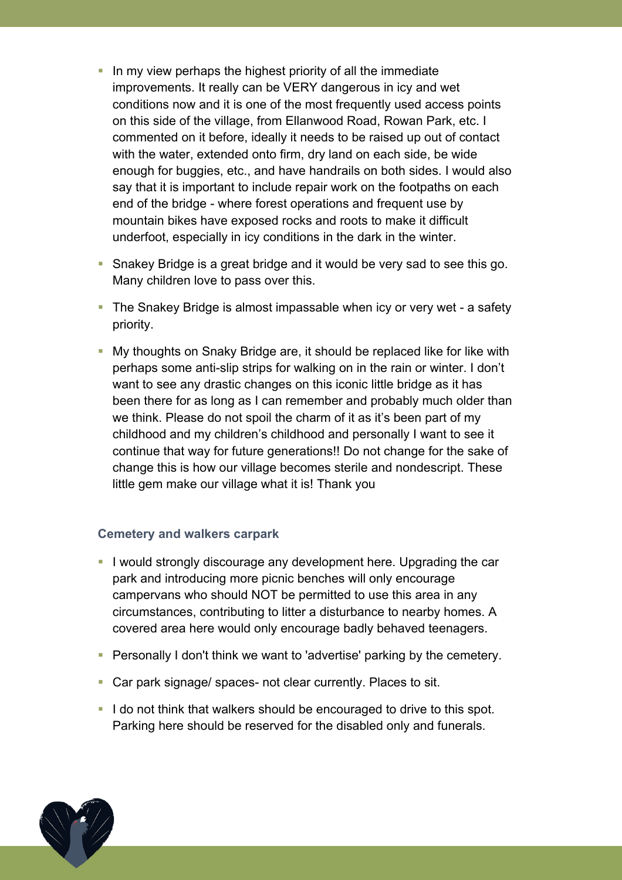- In my view perhaps the highest priority of all the immediate improvements. It really can be VERY dangerous in icy and wet conditions now and it is one of the most frequently used access points on this side of the village, from Ellanwood Road, Rowan Park, etc. I commented on it before, ideally it needs to be raised up out of contact with the water, extended onto firm, dry land on each side, be wide enough for buggies, etc., and have handrails on both sides. I would also say that it is important to include repair work on the footpaths on each end of the bridge - where forest operations and frequent use by mountain bikes have exposed rocks and roots to make it difficult underfoot, especially in icy conditions in the dark in the winter.
- Snakey Bridge is a great bridge and it would be very sad to see this go. Many children love to pass over this.
- The Snakey Bridge is almost impassable when icy or very wet a safety priority.
- § My thoughts on Snaky Bridge are, it should be replaced like for like with perhaps some anti-slip strips for walking on in the rain or winter. I don't want to see any drastic changes on this iconic little bridge as it has been there for as long as I can remember and probably much older than we think. Please do not spoil the charm of it as it's been part of my childhood and my children's childhood and personally I want to see it continue that way for future generations!! Do not change for the sake of change this is how our village becomes sterile and nondescript. These little gem make our village what it is! Thank you

# **Cemetery and walkers carpark**

- § I would strongly discourage any development here. Upgrading the car park and introducing more picnic benches will only encourage campervans who should NOT be permitted to use this area in any circumstances, contributing to litter a disturbance to nearby homes. A covered area here would only encourage badly behaved teenagers.
- Personally I don't think we want to 'advertise' parking by the cemetery.
- Car park signage/ spaces- not clear currently. Places to sit.
- § I do not think that walkers should be encouraged to drive to this spot. Parking here should be reserved for the disabled only and funerals.

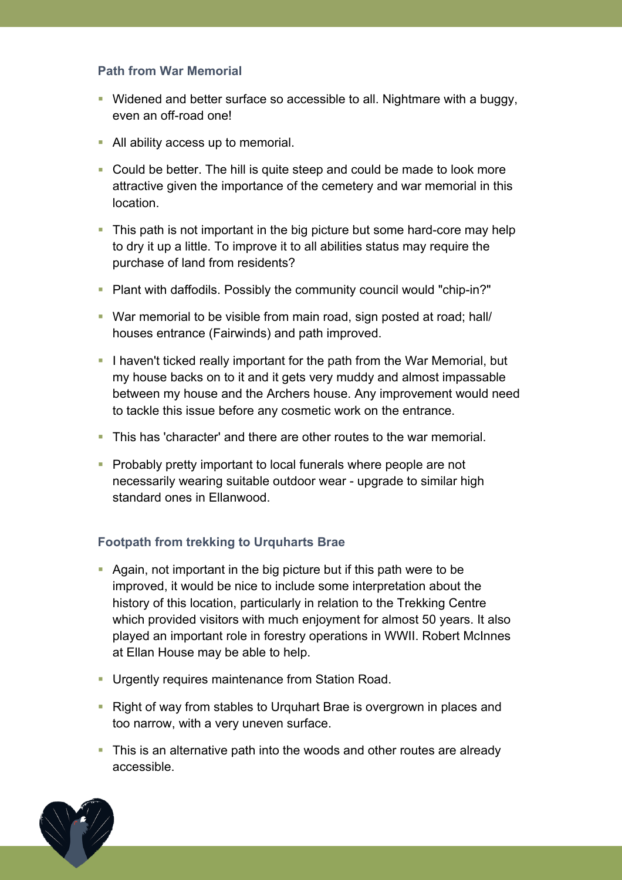# **Path from War Memorial**

- § Widened and better surface so accessible to all. Nightmare with a buggy, even an off-road one!
- All ability access up to memorial.
- Could be better. The hill is quite steep and could be made to look more attractive given the importance of the cemetery and war memorial in this location.
- This path is not important in the big picture but some hard-core may help to dry it up a little. To improve it to all abilities status may require the purchase of land from residents?
- § Plant with daffodils. Possibly the community council would "chip-in?"
- War memorial to be visible from main road, sign posted at road; hall/ houses entrance (Fairwinds) and path improved.
- § I haven't ticked really important for the path from the War Memorial, but my house backs on to it and it gets very muddy and almost impassable between my house and the Archers house. Any improvement would need to tackle this issue before any cosmetic work on the entrance.
- § This has 'character' and there are other routes to the war memorial.
- Probably pretty important to local funerals where people are not necessarily wearing suitable outdoor wear - upgrade to similar high standard ones in Ellanwood.

# **Footpath from trekking to Urquharts Brae**

- Again, not important in the big picture but if this path were to be improved, it would be nice to include some interpretation about the history of this location, particularly in relation to the Trekking Centre which provided visitors with much enjoyment for almost 50 years. It also played an important role in forestry operations in WWII. Robert McInnes at Ellan House may be able to help.
- § Urgently requires maintenance from Station Road.
- Right of way from stables to Urquhart Brae is overgrown in places and too narrow, with a very uneven surface.
- This is an alternative path into the woods and other routes are already accessible.

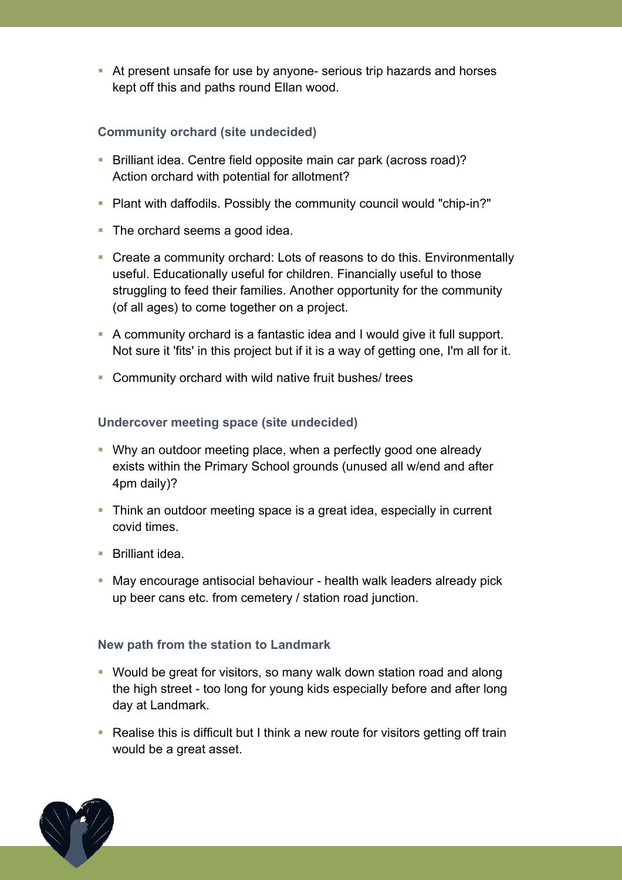• At present unsafe for use by anyone- serious trip hazards and horses kept off this and paths round Ellan wood.

# **Community orchard (site undecided)**

- § Brilliant idea. Centre field opposite main car park (across road)? Action orchard with potential for allotment?
- Plant with daffodils. Possibly the community council would "chip-in?"
- The orchard seems a good idea.
- Create a community orchard: Lots of reasons to do this. Environmentally useful. Educationally useful for children. Financially useful to those struggling to feed their families. Another opportunity for the community (of all ages) to come together on a project.
- § A community orchard is a fantastic idea and I would give it full support. Not sure it 'fits' in this project but if it is a way of getting one, I'm all for it.
- Community orchard with wild native fruit bushes/ trees

# **Undercover meeting space (site undecided)**

- Why an outdoor meeting place, when a perfectly good one already exists within the Primary School grounds (unused all w/end and after 4pm daily)?
- Think an outdoor meeting space is a great idea, especially in current covid times.
- Brilliant idea.
- § May encourage antisocial behaviour health walk leaders already pick up beer cans etc. from cemetery / station road junction.

# **New path from the station to Landmark**

- § Would be great for visitors, so many walk down station road and along the high street - too long for young kids especially before and after long day at Landmark.
- Realise this is difficult but I think a new route for visitors getting off train would be a great asset.

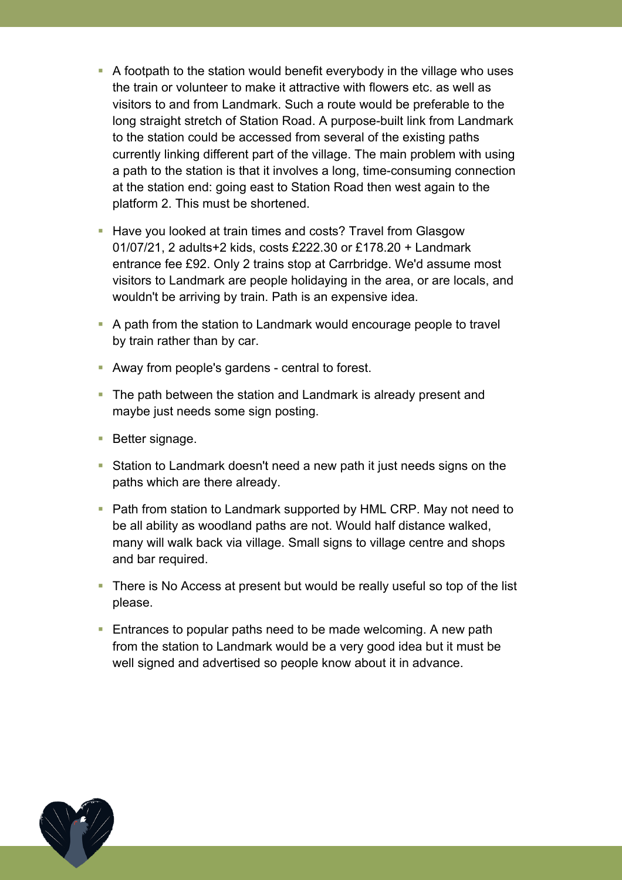- A footpath to the station would benefit everybody in the village who uses the train or volunteer to make it attractive with flowers etc. as well as visitors to and from Landmark. Such a route would be preferable to the long straight stretch of Station Road. A purpose-built link from Landmark to the station could be accessed from several of the existing paths currently linking different part of the village. The main problem with using a path to the station is that it involves a long, time-consuming connection at the station end: going east to Station Road then west again to the platform 2. This must be shortened.
- Have you looked at train times and costs? Travel from Glasgow 01/07/21, 2 adults+2 kids, costs £222.30 or £178.20 + Landmark entrance fee £92. Only 2 trains stop at Carrbridge. We'd assume most visitors to Landmark are people holidaying in the area, or are locals, and wouldn't be arriving by train. Path is an expensive idea.
- § A path from the station to Landmark would encourage people to travel by train rather than by car.
- § Away from people's gardens central to forest.
- The path between the station and Landmark is already present and maybe just needs some sign posting.
- Better signage.
- Station to Landmark doesn't need a new path it just needs signs on the paths which are there already.
- Path from station to Landmark supported by HML CRP. May not need to be all ability as woodland paths are not. Would half distance walked, many will walk back via village. Small signs to village centre and shops and bar required.
- There is No Access at present but would be really useful so top of the list please.
- Entrances to popular paths need to be made welcoming. A new path from the station to Landmark would be a very good idea but it must be well signed and advertised so people know about it in advance.

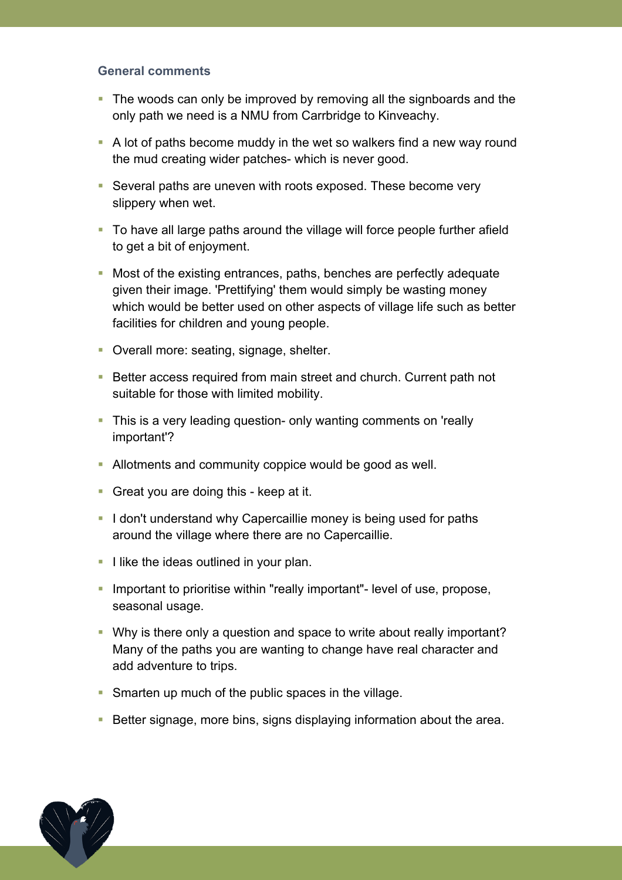# **General comments**

- The woods can only be improved by removing all the signboards and the only path we need is a NMU from Carrbridge to Kinveachy.
- A lot of paths become muddy in the wet so walkers find a new way round the mud creating wider patches- which is never good.
- Several paths are uneven with roots exposed. These become very slippery when wet.
- To have all large paths around the village will force people further afield to get a bit of enjoyment.
- § Most of the existing entrances, paths, benches are perfectly adequate given their image. 'Prettifying' them would simply be wasting money which would be better used on other aspects of village life such as better facilities for children and young people.
- Overall more: seating, signage, shelter.
- Better access required from main street and church. Current path not suitable for those with limited mobility.
- This is a very leading question- only wanting comments on 'really important'?
- § Allotments and community coppice would be good as well.
- Great you are doing this keep at it.
- I don't understand why Capercaillie money is being used for paths around the village where there are no Capercaillie.
- **I like the ideas outlined in your plan.**
- Important to prioritise within "really important"- level of use, propose, seasonal usage.
- Why is there only a question and space to write about really important? Many of the paths you are wanting to change have real character and add adventure to trips.
- Smarten up much of the public spaces in the village.
- Better signage, more bins, signs displaying information about the area.

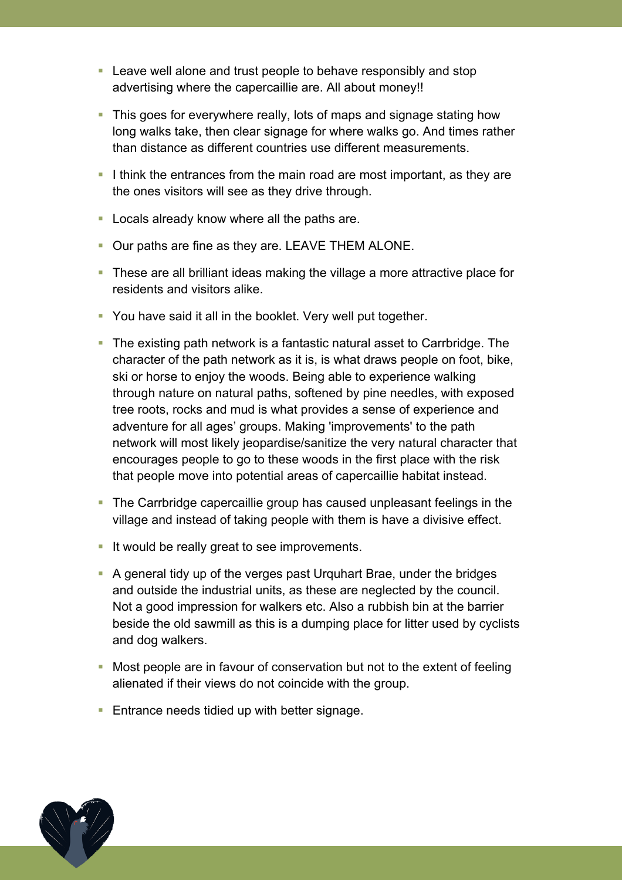- Leave well alone and trust people to behave responsibly and stop advertising where the capercaillie are. All about money!!
- This goes for everywhere really, lots of maps and signage stating how long walks take, then clear signage for where walks go. And times rather than distance as different countries use different measurements.
- I think the entrances from the main road are most important, as they are the ones visitors will see as they drive through.
- § Locals already know where all the paths are.
- § Our paths are fine as they are. LEAVE THEM ALONE.
- These are all brilliant ideas making the village a more attractive place for residents and visitors alike.
- § You have said it all in the booklet. Very well put together.
- The existing path network is a fantastic natural asset to Carrbridge. The character of the path network as it is, is what draws people on foot, bike, ski or horse to enjoy the woods. Being able to experience walking through nature on natural paths, softened by pine needles, with exposed tree roots, rocks and mud is what provides a sense of experience and adventure for all ages' groups. Making 'improvements' to the path network will most likely jeopardise/sanitize the very natural character that encourages people to go to these woods in the first place with the risk that people move into potential areas of capercaillie habitat instead.
- The Carrbridge capercaillie group has caused unpleasant feelings in the village and instead of taking people with them is have a divisive effect.
- **•** It would be really great to see improvements.
- § A general tidy up of the verges past Urquhart Brae, under the bridges and outside the industrial units, as these are neglected by the council. Not a good impression for walkers etc. Also a rubbish bin at the barrier beside the old sawmill as this is a dumping place for litter used by cyclists and dog walkers.
- § Most people are in favour of conservation but not to the extent of feeling alienated if their views do not coincide with the group.
- **Entrance needs tidied up with better signage.**

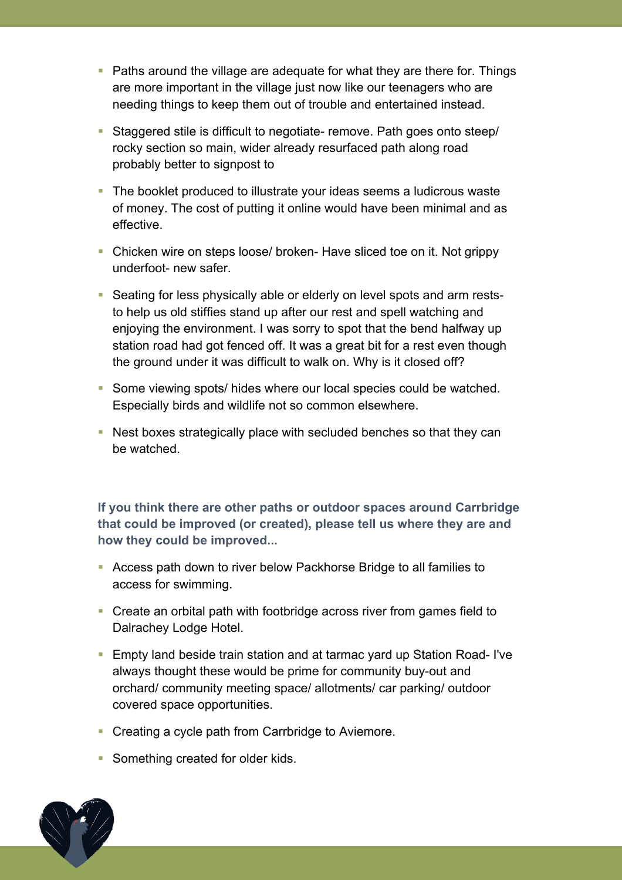- Paths around the village are adequate for what they are there for. Things are more important in the village just now like our teenagers who are needing things to keep them out of trouble and entertained instead.
- Staggered stile is difficult to negotiate- remove. Path goes onto steep/ rocky section so main, wider already resurfaced path along road probably better to signpost to
- The booklet produced to illustrate your ideas seems a ludicrous waste of money. The cost of putting it online would have been minimal and as effective.
- Chicken wire on steps loose/ broken- Have sliced toe on it. Not grippy underfoot- new safer.
- Seating for less physically able or elderly on level spots and arm reststo help us old stiffies stand up after our rest and spell watching and enjoying the environment. I was sorry to spot that the bend halfway up station road had got fenced off. It was a great bit for a rest even though the ground under it was difficult to walk on. Why is it closed off?
- Some viewing spots/ hides where our local species could be watched. Especially birds and wildlife not so common elsewhere.
- Nest boxes strategically place with secluded benches so that they can be watched.

**If you think there are other paths or outdoor spaces around Carrbridge that could be improved (or created), please tell us where they are and how they could be improved...**

- Access path down to river below Packhorse Bridge to all families to access for swimming.
- Create an orbital path with footbridge across river from games field to Dalrachey Lodge Hotel.
- Empty land beside train station and at tarmac yard up Station Road- I've always thought these would be prime for community buy-out and orchard/ community meeting space/ allotments/ car parking/ outdoor covered space opportunities.
- Creating a cycle path from Carrbridge to Aviemore.
- Something created for older kids.

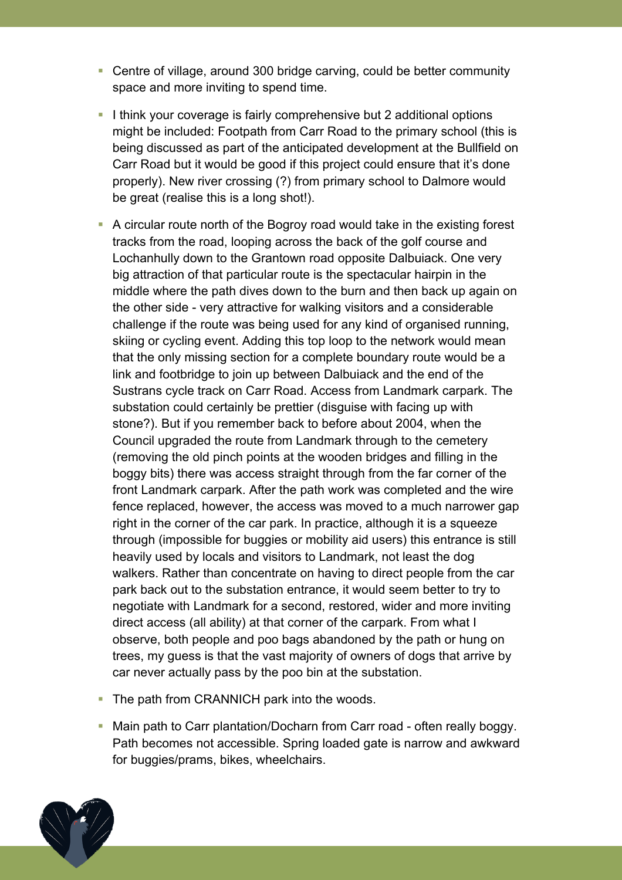- Centre of village, around 300 bridge carving, could be better community space and more inviting to spend time.
- I think your coverage is fairly comprehensive but 2 additional options might be included: Footpath from Carr Road to the primary school (this is being discussed as part of the anticipated development at the Bullfield on Carr Road but it would be good if this project could ensure that it's done properly). New river crossing (?) from primary school to Dalmore would be great (realise this is a long shot!).
- A circular route north of the Bogroy road would take in the existing forest tracks from the road, looping across the back of the golf course and Lochanhully down to the Grantown road opposite Dalbuiack. One very big attraction of that particular route is the spectacular hairpin in the middle where the path dives down to the burn and then back up again on the other side - very attractive for walking visitors and a considerable challenge if the route was being used for any kind of organised running, skiing or cycling event. Adding this top loop to the network would mean that the only missing section for a complete boundary route would be a link and footbridge to join up between Dalbuiack and the end of the Sustrans cycle track on Carr Road. Access from Landmark carpark. The substation could certainly be prettier (disguise with facing up with stone?). But if you remember back to before about 2004, when the Council upgraded the route from Landmark through to the cemetery (removing the old pinch points at the wooden bridges and filling in the boggy bits) there was access straight through from the far corner of the front Landmark carpark. After the path work was completed and the wire fence replaced, however, the access was moved to a much narrower gap right in the corner of the car park. In practice, although it is a squeeze through (impossible for buggies or mobility aid users) this entrance is still heavily used by locals and visitors to Landmark, not least the dog walkers. Rather than concentrate on having to direct people from the car park back out to the substation entrance, it would seem better to try to negotiate with Landmark for a second, restored, wider and more inviting direct access (all ability) at that corner of the carpark. From what I observe, both people and poo bags abandoned by the path or hung on trees, my guess is that the vast majority of owners of dogs that arrive by car never actually pass by the poo bin at the substation.
- The path from CRANNICH park into the woods.
- Main path to Carr plantation/Docharn from Carr road often really boggy. Path becomes not accessible. Spring loaded gate is narrow and awkward for buggies/prams, bikes, wheelchairs.

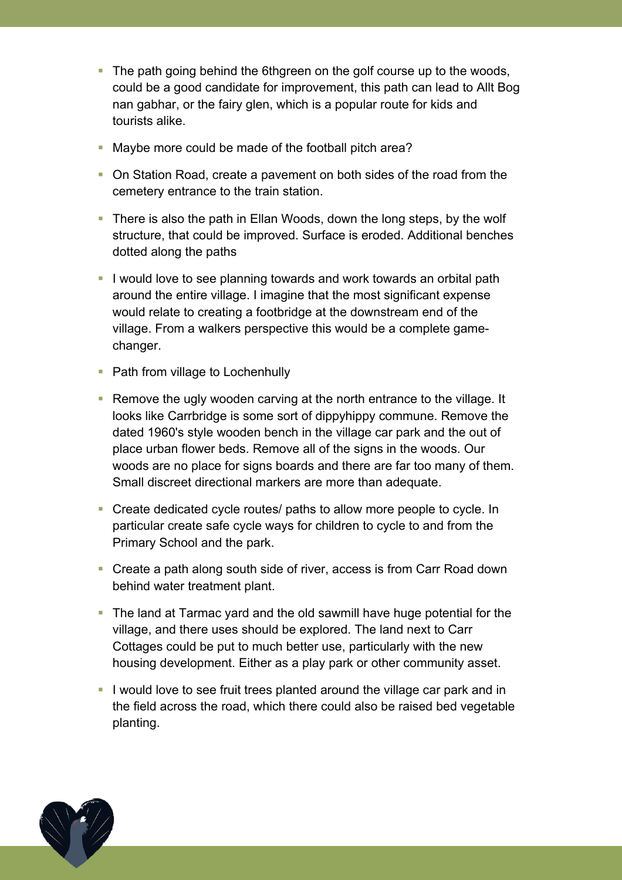- The path going behind the 6thgreen on the golf course up to the woods, could be a good candidate for improvement, this path can lead to Allt Bog nan gabhar, or the fairy glen, which is a popular route for kids and tourists alike.
- § Maybe more could be made of the football pitch area?
- On Station Road, create a pavement on both sides of the road from the cemetery entrance to the train station.
- There is also the path in Ellan Woods, down the long steps, by the wolf structure, that could be improved. Surface is eroded. Additional benches dotted along the paths
- § I would love to see planning towards and work towards an orbital path around the entire village. I imagine that the most significant expense would relate to creating a footbridge at the downstream end of the village. From a walkers perspective this would be a complete gamechanger.
- Path from village to Lochenhully
- Remove the ugly wooden carving at the north entrance to the village. It looks like Carrbridge is some sort of dippyhippy commune. Remove the dated 1960's style wooden bench in the village car park and the out of place urban flower beds. Remove all of the signs in the woods. Our woods are no place for signs boards and there are far too many of them. Small discreet directional markers are more than adequate.
- Create dedicated cycle routes/ paths to allow more people to cycle. In particular create safe cycle ways for children to cycle to and from the Primary School and the park.
- Create a path along south side of river, access is from Carr Road down behind water treatment plant.
- The land at Tarmac yard and the old sawmill have huge potential for the village, and there uses should be explored. The land next to Carr Cottages could be put to much better use, particularly with the new housing development. Either as a play park or other community asset.
- § I would love to see fruit trees planted around the village car park and in the field across the road, which there could also be raised bed vegetable planting.

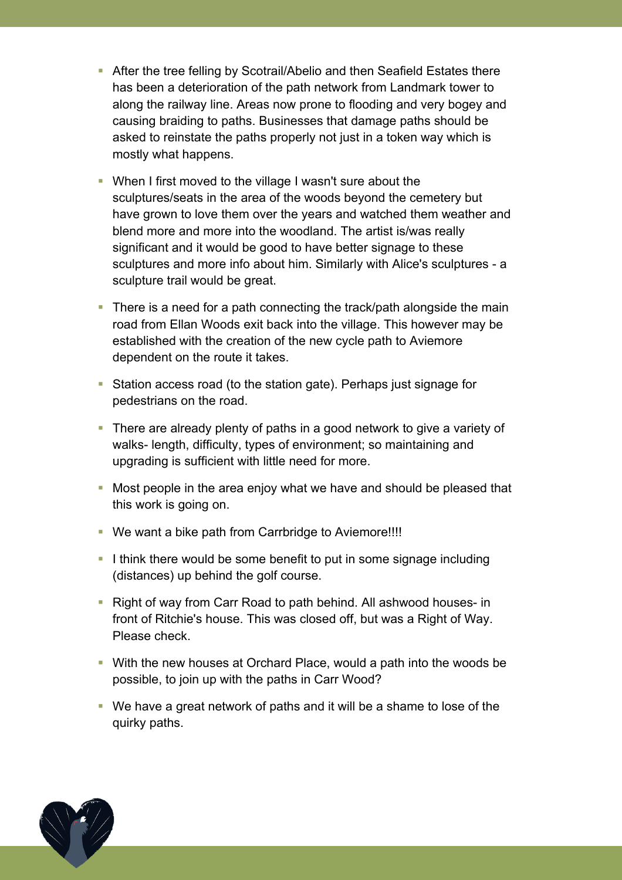- After the tree felling by Scotrail/Abelio and then Seafield Estates there has been a deterioration of the path network from Landmark tower to along the railway line. Areas now prone to flooding and very bogey and causing braiding to paths. Businesses that damage paths should be asked to reinstate the paths properly not just in a token way which is mostly what happens.
- When I first moved to the village I wasn't sure about the sculptures/seats in the area of the woods beyond the cemetery but have grown to love them over the years and watched them weather and blend more and more into the woodland. The artist is/was really significant and it would be good to have better signage to these sculptures and more info about him. Similarly with Alice's sculptures - a sculpture trail would be great.
- There is a need for a path connecting the track/path alongside the main road from Ellan Woods exit back into the village. This however may be established with the creation of the new cycle path to Aviemore dependent on the route it takes.
- Station access road (to the station gate). Perhaps just signage for pedestrians on the road.
- There are already plenty of paths in a good network to give a variety of walks- length, difficulty, types of environment; so maintaining and upgrading is sufficient with little need for more.
- § Most people in the area enjoy what we have and should be pleased that this work is going on.
- We want a bike path from Carrbridge to Aviemore!!!!
- I think there would be some benefit to put in some signage including (distances) up behind the golf course.
- Right of way from Carr Road to path behind. All ashwood houses- in front of Ritchie's house. This was closed off, but was a Right of Way. Please check.
- § With the new houses at Orchard Place, would a path into the woods be possible, to join up with the paths in Carr Wood?
- § We have a great network of paths and it will be a shame to lose of the quirky paths.

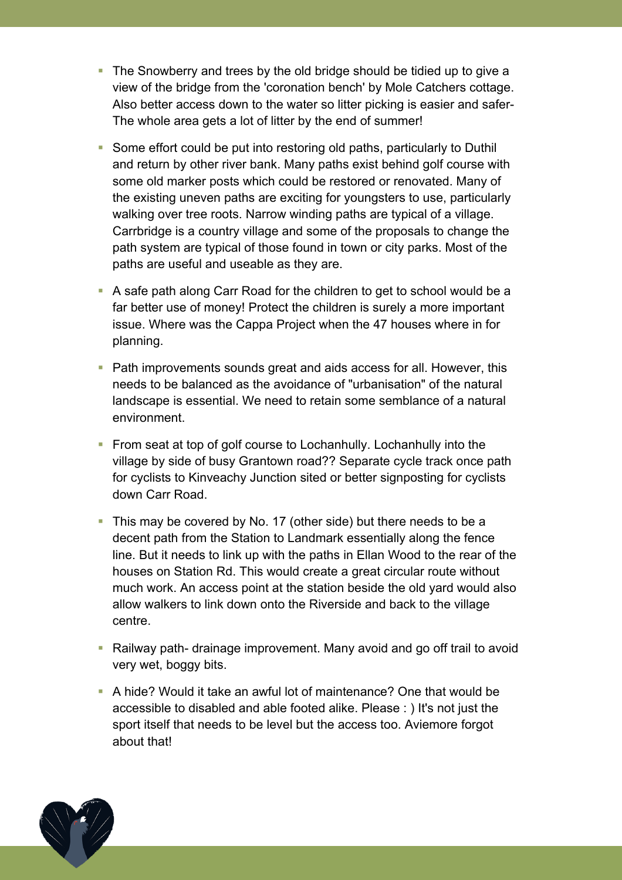- The Snowberry and trees by the old bridge should be tidied up to give a view of the bridge from the 'coronation bench' by Mole Catchers cottage. Also better access down to the water so litter picking is easier and safer-The whole area gets a lot of litter by the end of summer!
- § Some effort could be put into restoring old paths, particularly to Duthil and return by other river bank. Many paths exist behind golf course with some old marker posts which could be restored or renovated. Many of the existing uneven paths are exciting for youngsters to use, particularly walking over tree roots. Narrow winding paths are typical of a village. Carrbridge is a country village and some of the proposals to change the path system are typical of those found in town or city parks. Most of the paths are useful and useable as they are.
- § A safe path along Carr Road for the children to get to school would be a far better use of money! Protect the children is surely a more important issue. Where was the Cappa Project when the 47 houses where in for planning.
- Path improvements sounds great and aids access for all. However, this needs to be balanced as the avoidance of "urbanisation" of the natural landscape is essential. We need to retain some semblance of a natural environment.
- From seat at top of golf course to Lochanhully. Lochanhully into the village by side of busy Grantown road?? Separate cycle track once path for cyclists to Kinveachy Junction sited or better signposting for cyclists down Carr Road.
- This may be covered by No. 17 (other side) but there needs to be a decent path from the Station to Landmark essentially along the fence line. But it needs to link up with the paths in Ellan Wood to the rear of the houses on Station Rd. This would create a great circular route without much work. An access point at the station beside the old yard would also allow walkers to link down onto the Riverside and back to the village centre.
- Railway path- drainage improvement. Many avoid and go off trail to avoid very wet, boggy bits.
- A hide? Would it take an awful lot of maintenance? One that would be accessible to disabled and able footed alike. Please : ) It's not just the sport itself that needs to be level but the access too. Aviemore forgot about that!

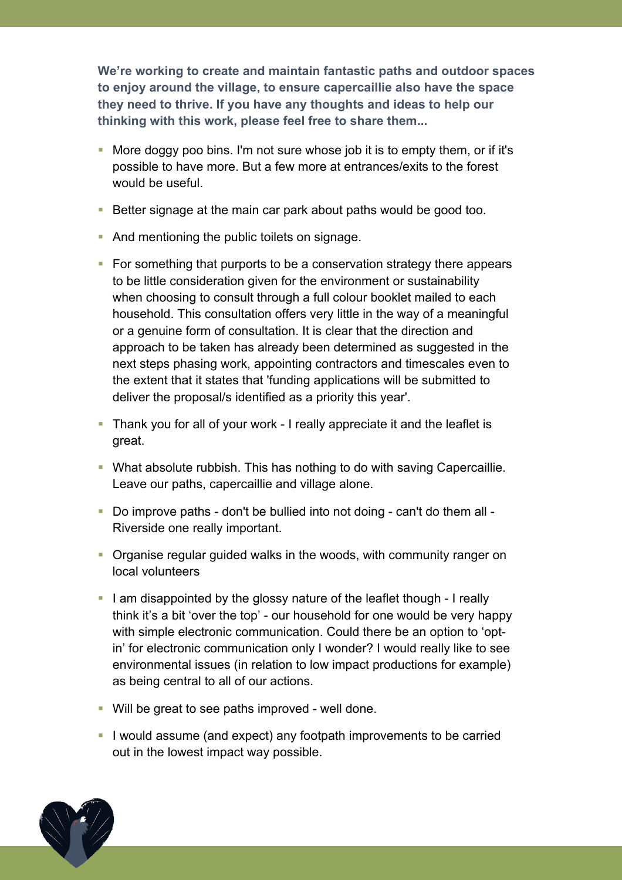**We're working to create and maintain fantastic paths and outdoor spaces to enjoy around the village, to ensure capercaillie also have the space they need to thrive. If you have any thoughts and ideas to help our thinking with this work, please feel free to share them...**

- § More doggy poo bins. I'm not sure whose job it is to empty them, or if it's possible to have more. But a few more at entrances/exits to the forest would be useful.
- Better signage at the main car park about paths would be good too.
- And mentioning the public toilets on signage.
- For something that purports to be a conservation strategy there appears to be little consideration given for the environment or sustainability when choosing to consult through a full colour booklet mailed to each household. This consultation offers very little in the way of a meaningful or a genuine form of consultation. It is clear that the direction and approach to be taken has already been determined as suggested in the next steps phasing work, appointing contractors and timescales even to the extent that it states that 'funding applications will be submitted to deliver the proposal/s identified as a priority this year'.
- Thank you for all of your work I really appreciate it and the leaflet is great.
- What absolute rubbish. This has nothing to do with saving Capercaillie. Leave our paths, capercaillie and village alone.
- § Do improve paths don't be bullied into not doing can't do them all Riverside one really important.
- § Organise regular guided walks in the woods, with community ranger on local volunteers
- I am disappointed by the glossy nature of the leaflet though I really think it's a bit 'over the top' - our household for one would be very happy with simple electronic communication. Could there be an option to 'optin' for electronic communication only I wonder? I would really like to see environmental issues (in relation to low impact productions for example) as being central to all of our actions.
- § Will be great to see paths improved well done.
- § I would assume (and expect) any footpath improvements to be carried out in the lowest impact way possible.

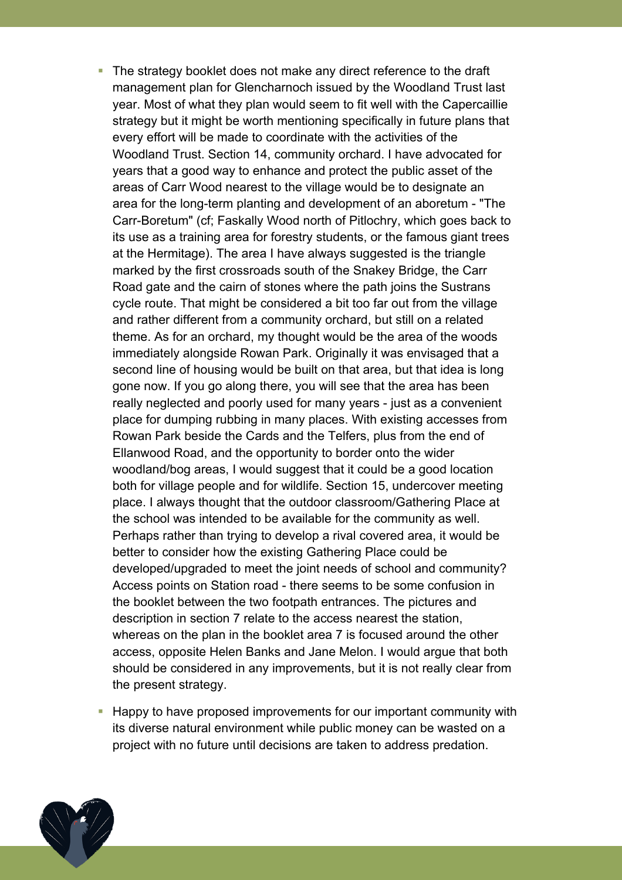- The strategy booklet does not make any direct reference to the draft management plan for Glencharnoch issued by the Woodland Trust last year. Most of what they plan would seem to fit well with the Capercaillie strategy but it might be worth mentioning specifically in future plans that every effort will be made to coordinate with the activities of the Woodland Trust. Section 14, community orchard. I have advocated for years that a good way to enhance and protect the public asset of the areas of Carr Wood nearest to the village would be to designate an area for the long-term planting and development of an aboretum - "The Carr-Boretum" (cf; Faskally Wood north of Pitlochry, which goes back to its use as a training area for forestry students, or the famous giant trees at the Hermitage). The area I have always suggested is the triangle marked by the first crossroads south of the Snakey Bridge, the Carr Road gate and the cairn of stones where the path joins the Sustrans cycle route. That might be considered a bit too far out from the village and rather different from a community orchard, but still on a related theme. As for an orchard, my thought would be the area of the woods immediately alongside Rowan Park. Originally it was envisaged that a second line of housing would be built on that area, but that idea is long gone now. If you go along there, you will see that the area has been really neglected and poorly used for many years - just as a convenient place for dumping rubbing in many places. With existing accesses from Rowan Park beside the Cards and the Telfers, plus from the end of Ellanwood Road, and the opportunity to border onto the wider woodland/bog areas, I would suggest that it could be a good location both for village people and for wildlife. Section 15, undercover meeting place. I always thought that the outdoor classroom/Gathering Place at the school was intended to be available for the community as well. Perhaps rather than trying to develop a rival covered area, it would be better to consider how the existing Gathering Place could be developed/upgraded to meet the joint needs of school and community? Access points on Station road - there seems to be some confusion in the booklet between the two footpath entrances. The pictures and description in section 7 relate to the access nearest the station, whereas on the plan in the booklet area 7 is focused around the other access, opposite Helen Banks and Jane Melon. I would argue that both should be considered in any improvements, but it is not really clear from the present strategy.
- § Happy to have proposed improvements for our important community with its diverse natural environment while public money can be wasted on a project with no future until decisions are taken to address predation.

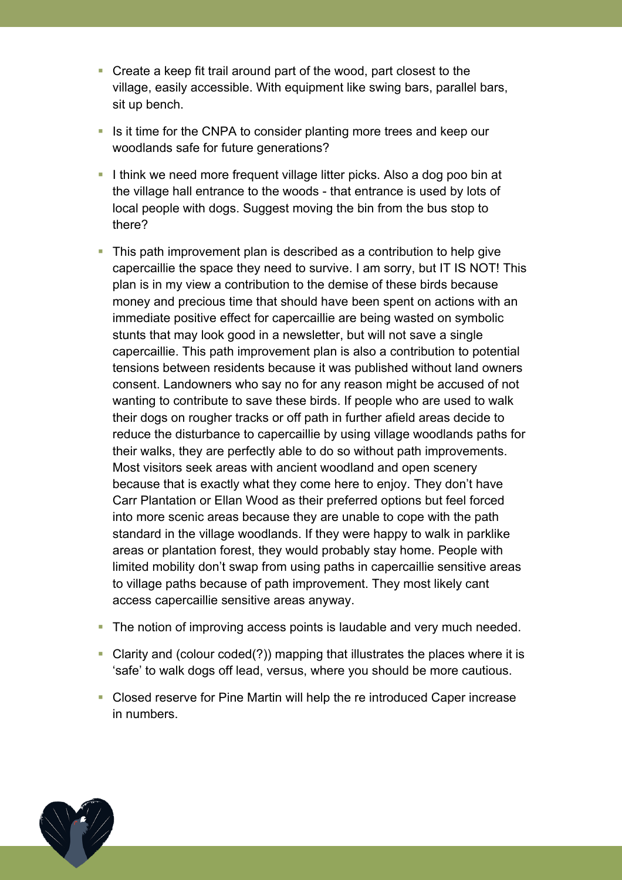- § Create a keep fit trail around part of the wood, part closest to the village, easily accessible. With equipment like swing bars, parallel bars, sit up bench.
- Is it time for the CNPA to consider planting more trees and keep our woodlands safe for future generations?
- I think we need more frequent village litter picks. Also a dog poo bin at the village hall entrance to the woods - that entrance is used by lots of local people with dogs. Suggest moving the bin from the bus stop to there?
- This path improvement plan is described as a contribution to help give capercaillie the space they need to survive. I am sorry, but IT IS NOT! This plan is in my view a contribution to the demise of these birds because money and precious time that should have been spent on actions with an immediate positive effect for capercaillie are being wasted on symbolic stunts that may look good in a newsletter, but will not save a single capercaillie. This path improvement plan is also a contribution to potential tensions between residents because it was published without land owners consent. Landowners who say no for any reason might be accused of not wanting to contribute to save these birds. If people who are used to walk their dogs on rougher tracks or off path in further afield areas decide to reduce the disturbance to capercaillie by using village woodlands paths for their walks, they are perfectly able to do so without path improvements. Most visitors seek areas with ancient woodland and open scenery because that is exactly what they come here to enjoy. They don't have Carr Plantation or Ellan Wood as their preferred options but feel forced into more scenic areas because they are unable to cope with the path standard in the village woodlands. If they were happy to walk in parklike areas or plantation forest, they would probably stay home. People with limited mobility don't swap from using paths in capercaillie sensitive areas to village paths because of path improvement. They most likely cant access capercaillie sensitive areas anyway.
- The notion of improving access points is laudable and very much needed.
- Clarity and (colour coded(?)) mapping that illustrates the places where it is 'safe' to walk dogs off lead, versus, where you should be more cautious.
- § Closed reserve for Pine Martin will help the re introduced Caper increase in numbers.

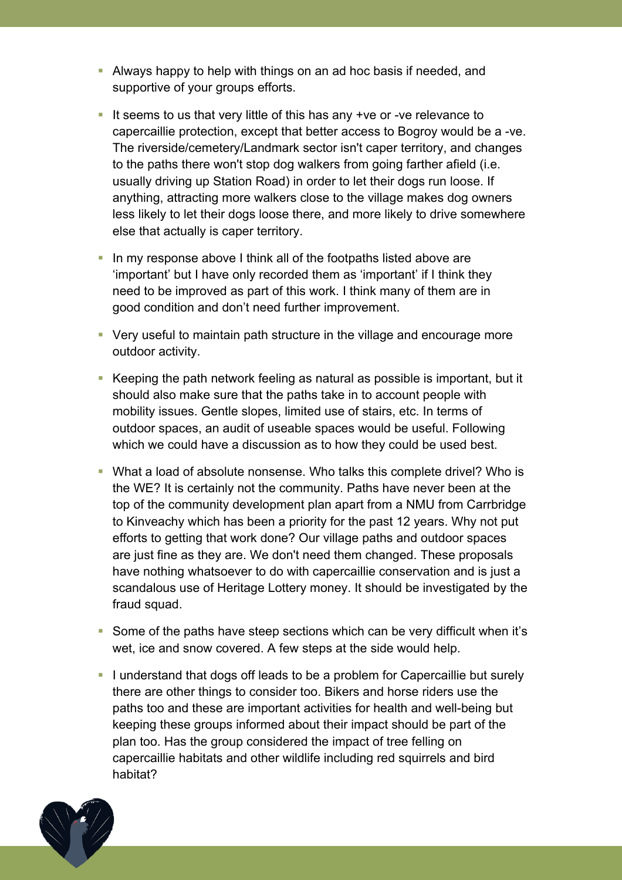- § Always happy to help with things on an ad hoc basis if needed, and supportive of your groups efforts.
- § It seems to us that very little of this has any +ve or -ve relevance to capercaillie protection, except that better access to Bogroy would be a -ve. The riverside/cemetery/Landmark sector isn't caper territory, and changes to the paths there won't stop dog walkers from going farther afield (i.e. usually driving up Station Road) in order to let their dogs run loose. If anything, attracting more walkers close to the village makes dog owners less likely to let their dogs loose there, and more likely to drive somewhere else that actually is caper territory.
- In my response above I think all of the footpaths listed above are 'important' but I have only recorded them as 'important' if I think they need to be improved as part of this work. I think many of them are in good condition and don't need further improvement.
- Very useful to maintain path structure in the village and encourage more outdoor activity.
- § Keeping the path network feeling as natural as possible is important, but it should also make sure that the paths take in to account people with mobility issues. Gentle slopes, limited use of stairs, etc. In terms of outdoor spaces, an audit of useable spaces would be useful. Following which we could have a discussion as to how they could be used best.
- What a load of absolute nonsense. Who talks this complete drivel? Who is the WE? It is certainly not the community. Paths have never been at the top of the community development plan apart from a NMU from Carrbridge to Kinveachy which has been a priority for the past 12 years. Why not put efforts to getting that work done? Our village paths and outdoor spaces are just fine as they are. We don't need them changed. These proposals have nothing whatsoever to do with capercaillie conservation and is just a scandalous use of Heritage Lottery money. It should be investigated by the fraud squad.
- Some of the paths have steep sections which can be very difficult when it's wet, ice and snow covered. A few steps at the side would help.
- § I understand that dogs off leads to be a problem for Capercaillie but surely there are other things to consider too. Bikers and horse riders use the paths too and these are important activities for health and well-being but keeping these groups informed about their impact should be part of the plan too. Has the group considered the impact of tree felling on capercaillie habitats and other wildlife including red squirrels and bird habitat?

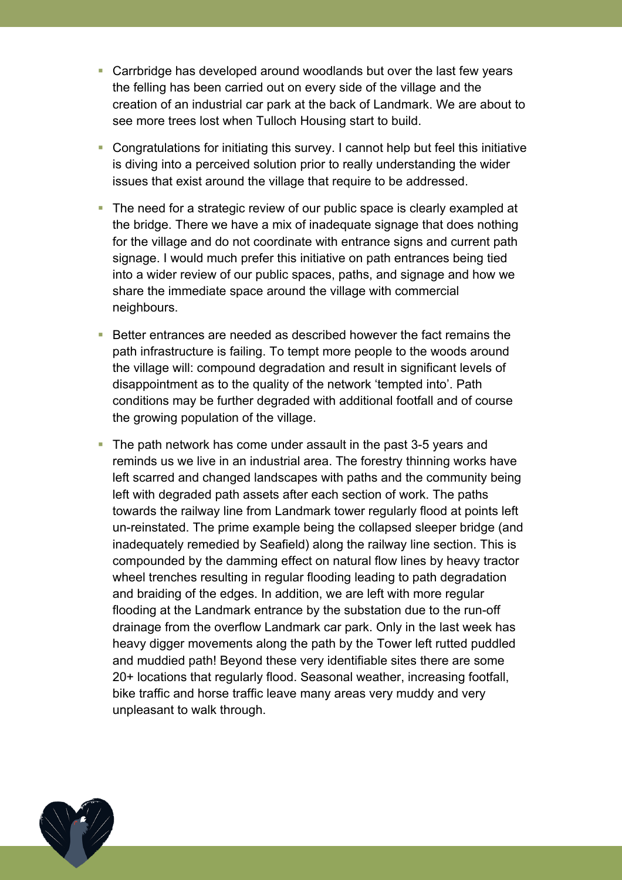- Carrbridge has developed around woodlands but over the last few years the felling has been carried out on every side of the village and the creation of an industrial car park at the back of Landmark. We are about to see more trees lost when Tulloch Housing start to build.
- § Congratulations for initiating this survey. I cannot help but feel this initiative is diving into a perceived solution prior to really understanding the wider issues that exist around the village that require to be addressed.
- The need for a strategic review of our public space is clearly exampled at the bridge. There we have a mix of inadequate signage that does nothing for the village and do not coordinate with entrance signs and current path signage. I would much prefer this initiative on path entrances being tied into a wider review of our public spaces, paths, and signage and how we share the immediate space around the village with commercial neighbours.
- Better entrances are needed as described however the fact remains the path infrastructure is failing. To tempt more people to the woods around the village will: compound degradation and result in significant levels of disappointment as to the quality of the network 'tempted into'. Path conditions may be further degraded with additional footfall and of course the growing population of the village.
- The path network has come under assault in the past 3-5 years and reminds us we live in an industrial area. The forestry thinning works have left scarred and changed landscapes with paths and the community being left with degraded path assets after each section of work. The paths towards the railway line from Landmark tower regularly flood at points left un-reinstated. The prime example being the collapsed sleeper bridge (and inadequately remedied by Seafield) along the railway line section. This is compounded by the damming effect on natural flow lines by heavy tractor wheel trenches resulting in regular flooding leading to path degradation and braiding of the edges. In addition, we are left with more regular flooding at the Landmark entrance by the substation due to the run-off drainage from the overflow Landmark car park. Only in the last week has heavy digger movements along the path by the Tower left rutted puddled and muddied path! Beyond these very identifiable sites there are some 20+ locations that regularly flood. Seasonal weather, increasing footfall, bike traffic and horse traffic leave many areas very muddy and very unpleasant to walk through.